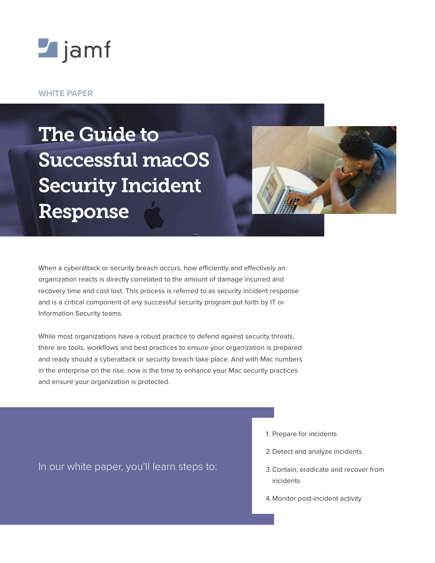

#### **WHITE PAPER**

# The Guide to Successful macOS Security Incident Response



When a cyberattack or security breach occurs, how efficiently and effectively an organization reacts is directly correlated to the amount of damage incurred and recovery time and cost lost. This process is referred to as security incident response and is a critical component of any successful security program put forth by IT or Information Security teams.

While most organizations have a robust practice to defend against security threats, there are tools, workflows and best practices to ensure your organization is prepared and ready should a cyberattack or security breach take place. And with Mac numbers in the enterprise on the rise, now is the time to enhance your Mac security practices and ensure your organization is protected.

In our white paper, you'll learn steps to:

- 1. Prepare for incidents
- 2.Detect and analyze incidents
- 3.Contain, eradicate and recover from incidents
- 4.Monitor post-incident activity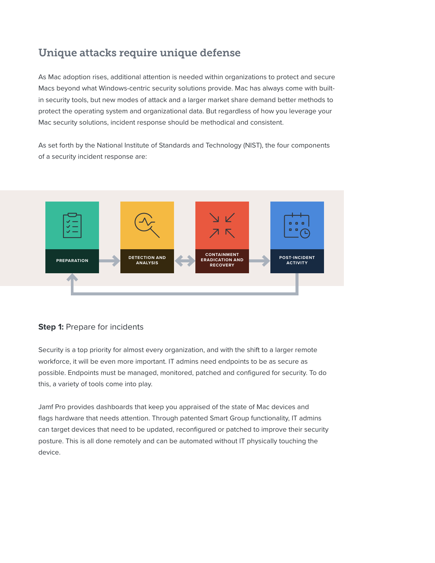# Unique attacks require unique defense

As Mac adoption rises, additional attention is needed within organizations to protect and secure Macs beyond what Windows-centric security solutions provide. Mac has always come with builtin security tools, but new modes of attack and a larger market share demand better methods to protect the operating system and organizational data. But regardless of how you leverage your Mac security solutions, incident response should be methodical and consistent.

As set forth by the National Institute of Standards and Technology (NIST), the four components of a security incident response are:



### **Step 1:** Prepare for incidents

Security is a top priority for almost every organization, and with the shift to a larger remote workforce, it will be even more important. IT admins need endpoints to be as secure as possible. Endpoints must be managed, monitored, patched and configured for security. To do this, a variety of tools come into play.

Jamf Pro provides dashboards that keep you appraised of the state of Mac devices and flags hardware that needs attention. Through patented Smart Group functionality, IT admins can target devices that need to be updated, reconfigured or patched to improve their security posture. This is all done remotely and can be automated without IT physically touching the device.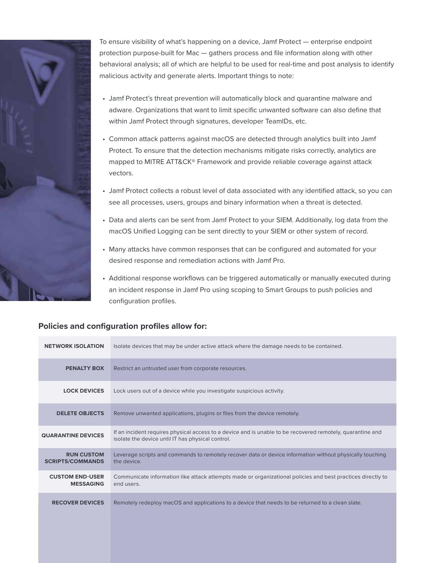

To ensure visibility of what's happening on a device, Jamf Protect — enterprise endpoint protection purpose-built for Mac — gathers process and file information along with other behavioral analysis; all of which are helpful to be used for real-time and post analysis to identify malicious activity and generate alerts. Important things to note:

- Jamf Protect's threat prevention will automatically block and quarantine malware and adware. Organizations that want to limit specific unwanted software can also define that within Jamf Protect through signatures, developer TeamIDs, etc.
- Common attack patterns against macOS are detected through analytics built into Jamf Protect. To ensure that the detection mechanisms mitigate risks correctly, analytics are mapped to MITRE ATT&CK® Framework and provide reliable coverage against attack vectors.
- Jamf Protect collects a robust level of data associated with any identified attack, so you can see all processes, users, groups and binary information when a threat is detected.
- Data and alerts can be sent from Jamf Protect to your SIEM. Additionally, log data from the macOS Unified Logging can be sent directly to your SIEM or other system of record.
- Many attacks have common responses that can be configured and automated for your desired response and remediation actions with Jamf Pro.
- Additional response workflows can be triggered automatically or manually executed during an incident response in Jamf Pro using scoping to Smart Groups to push policies and configuration profiles.

### **Policies and configuration profiles allow for:**

| <b>NETWORK ISOLATION</b>                     | Isolate devices that may be under active attack where the damage needs to be contained.                                                                         |
|----------------------------------------------|-----------------------------------------------------------------------------------------------------------------------------------------------------------------|
| <b>PENALTY BOX</b>                           | Restrict an untrusted user from corporate resources.                                                                                                            |
| <b>LOCK DEVICES</b>                          | Lock users out of a device while you investigate suspicious activity.                                                                                           |
| <b>DELETE OBJECTS</b>                        | Remove unwanted applications, plugins or files from the device remotely.                                                                                        |
| <b>QUARANTINE DEVICES</b>                    | If an incident requires physical access to a device and is unable to be recovered remotely, quarantine and<br>isolate the device until IT has physical control. |
| <b>RUN CUSTOM</b><br><b>SCRIPTS/COMMANDS</b> | Leverage scripts and commands to remotely recover data or device information without physically touching<br>the device.                                         |
| <b>CUSTOM END-USER</b><br><b>MESSAGING</b>   | Communicate information like attack attempts made or organizational policies and best practices directly to<br>end users.                                       |
| <b>RECOVER DEVICES</b>                       | Remotely redeploy macOS and applications to a device that needs to be returned to a clean slate.                                                                |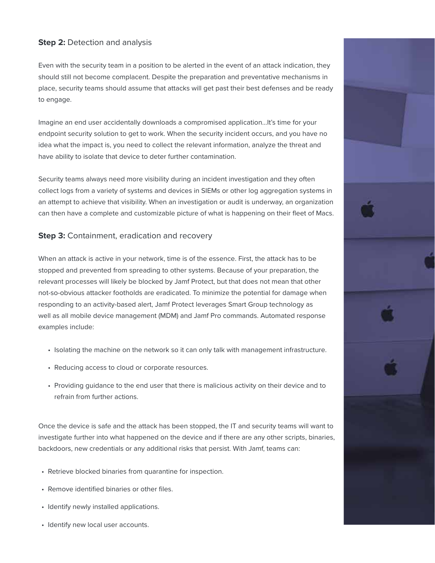## **Step 2: Detection and analysis**

Even with the security team in a position to be alerted in the event of an attack indication, they should still not become complacent. Despite the preparation and preventative mechanisms in place, security teams should assume that attacks will get past their best defenses and be ready to engage.

Imagine an end user accidentally downloads a compromised application…It's time for your endpoint security solution to get to work. When the security incident occurs, and you have no idea what the impact is, you need to collect the relevant information, analyze the threat and have ability to isolate that device to deter further contamination.

Security teams always need more visibility during an incident investigation and they often collect logs from a variety of systems and devices in SIEMs or other log aggregation systems in an attempt to achieve that visibility. When an investigation or audit is underway, an organization can then have a complete and customizable picture of what is happening on their fleet of Macs.

### **Step 3: Containment, eradication and recovery**

When an attack is active in your network, time is of the essence. First, the attack has to be stopped and prevented from spreading to other systems. Because of your preparation, the relevant processes will likely be blocked by Jamf Protect, but that does not mean that other not-so-obvious attacker footholds are eradicated. To minimize the potential for damage when responding to an activity-based alert, Jamf Protect leverages Smart Group technology as well as all mobile device management (MDM) and Jamf Pro commands. Automated response examples include:

- Isolating the machine on the network so it can only talk with management infrastructure.
- Reducing access to cloud or corporate resources.
- Providing guidance to the end user that there is malicious activity on their device and to refrain from further actions.

Once the device is safe and the attack has been stopped, the IT and security teams will want to investigate further into what happened on the device and if there are any other scripts, binaries, backdoors, new credentials or any additional risks that persist. With Jamf, teams can:

- Retrieve blocked binaries from quarantine for inspection.
- Remove identified binaries or other files.
- Identify newly installed applications.
- Identify new local user accounts.